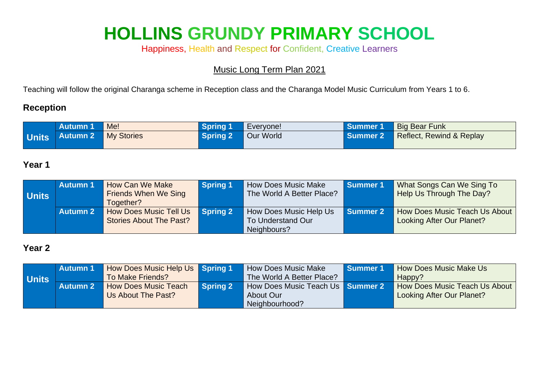# **HOLLINS GRUNDY PRIMARY SCHOOL**

Happiness, Health and Respect for Confident, Creative Learners

Music Long Term Plan 2021

Teaching will follow the original Charanga scheme in Reception class and the Charanga Model Music Curriculum from Years 1 to 6.

#### **Reception**

| <b>Autumn 1</b>               | Me! | Spring 1 | Everyone! | Summer 1 | Big Bear Funk            |
|-------------------------------|-----|----------|-----------|----------|--------------------------|
| Units   Autumn 2   My Stories |     | Spring 2 | Our World | Summer 2 | Reflect, Rewind & Replay |

#### **Year 1**

| <b>Units</b> | <b>Autumn 1</b> | How Can We Make<br><b>Friends When We Sing</b><br>Together?     | Spring 1 | <b>How Does Music Make</b><br>The World A Better Place?                  | Summer 1   | What Songs Can We Sing To<br>Help Us Through The Day?      |
|--------------|-----------------|-----------------------------------------------------------------|----------|--------------------------------------------------------------------------|------------|------------------------------------------------------------|
|              | <b>Autumn 2</b> | <b>How Does Music Tell Us</b><br><b>Stories About The Past?</b> | Spring 2 | <b>How Does Music Help Us</b><br><b>To Understand Our</b><br>Neighbours? | l Summer 2 | How Does Music Teach Us About<br>Looking After Our Planet? |

#### **Year 2**

|              | <b>Autumn 1</b> | <b>How Does Music Help Us Spring 1</b> |          | How Does Music Make                     | <b>I</b> Summer 1 | <b>How Does Music Make Us</b> |
|--------------|-----------------|----------------------------------------|----------|-----------------------------------------|-------------------|-------------------------------|
| <b>Units</b> |                 | To Make Friends?                       |          | The World A Better Place?               |                   | Happy?                        |
|              | <b>Autumn 2</b> | <b>How Does Music Teach</b>            | Spring 2 | How Does Music Teach Us <b>Summer 2</b> |                   | How Does Music Teach Us About |
|              |                 | Us About The Past?                     |          | About Our                               |                   | Looking After Our Planet?     |
|              |                 |                                        |          | Neighbourhood?                          |                   |                               |